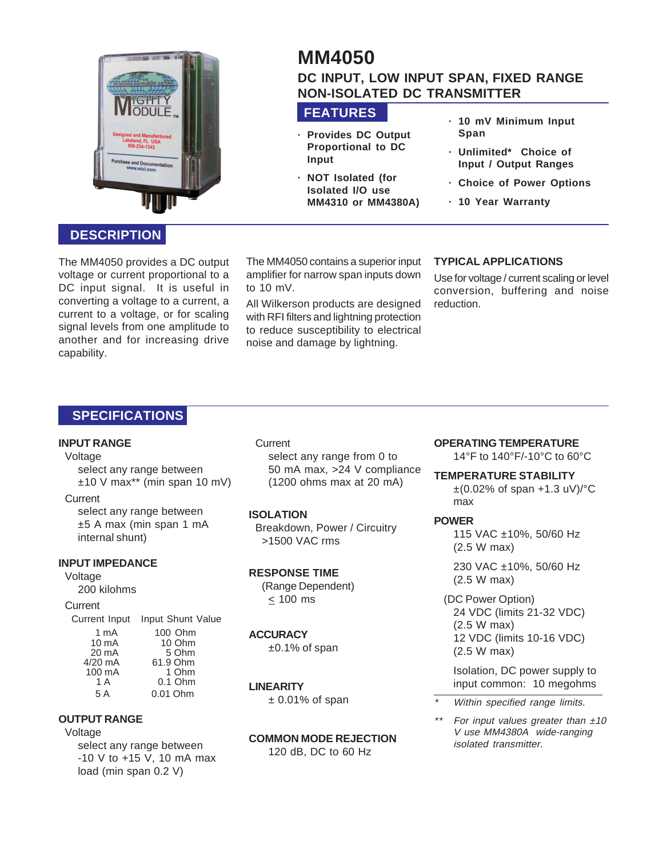

# **MM4050 DC INPUT, LOW INPUT SPAN, FIXED RANGE NON-ISOLATED DC TRANSMITTER**

# **FEATURES**

- **· Provides DC Output Proportional to DC Input**
- **· NOT Isolated (for Isolated I/O use MM4310 or MM4380A)**
- **· 10 mV Minimum Input Span**
- **· Unlimited\* Choice of Input / Output Ranges**
- **· Choice of Power Options**
- **· 10 Year Warranty**

# **DESCRIPTION**

The MM4050 provides a DC output voltage or current proportional to a DC input signal. It is useful in converting a voltage to a current, a current to a voltage, or for scaling signal levels from one amplitude to another and for increasing drive capability.

The MM4050 contains a superior input amplifier for narrow span inputs down to 10 mV.

All Wilkerson products are designed with RFI filters and lightning protection to reduce susceptibility to electrical noise and damage by lightning.

## **TYPICAL APPLICATIONS**

Use for voltage / current scaling or level conversion, buffering and noise reduction.

# **SPECIFICATIONS**

### **INPUT RANGE**

Voltage

select any range between  $±10$  V max<sup>\*\*</sup> (min span 10 mV)

### **Current**

select any range between ±5 A max (min span 1 mA internal shunt)

### **INPUT IMPEDANCE**

### Voltage

200 kilohms

#### **Current**

Current Input Input Shunt Value 1 mA 100 Ohm

| .               | 1 VV VIIII |
|-----------------|------------|
| $10 \text{ mA}$ | 10 Ohm     |
| 20 mA           | 5 Ohm      |
| $4/20$ mA       | 61.9 Ohm   |
| 100 mA          | 1 Ohm      |
| 1 A             | $0.1$ Ohm  |
| 5 A             | 0.01 Ohm   |
|                 |            |

### **OUTPUT RANGE**

Voltage

select any range between -10 V to +15 V, 10 mA max load (min span 0.2 V)

**Current** select any range from 0 to 50 mA max, >24 V compliance (1200 ohms max at 20 mA)

### **ISOLATION**

Breakdown, Power / Circuitry >1500 VAC rms

### **RESPONSE TIME**

(Range Dependent)  $< 100$  ms

### **ACCURACY**

±0.1% of span

### **LINEARITY**

 $± 0.01\%$  of span

#### **COMMON MODE REJECTION** 120 dB, DC to 60 Hz

### **OPERATING TEMPERATURE**

14°F to 140°F/-10°C to 60°C

**TEMPERATURE STABILITY**

 $\pm$ (0.02% of span +1.3 uV)/ $\degree$ C max

### **POWER**

115 VAC ±10%, 50/60 Hz (2.5 W max)

230 VAC ±10%, 50/60 Hz (2.5 W max)

(DC Power Option) 24 VDC (limits 21-32 VDC) (2.5 W max) 12 VDC (limits 10-16 VDC) (2.5 W max)

Isolation, DC power supply to input common: 10 megohms

- \*Within specified range limits.
- \*\*For input values greater than  $±10$ V use MM4380A wide-ranging isolated transmitter.